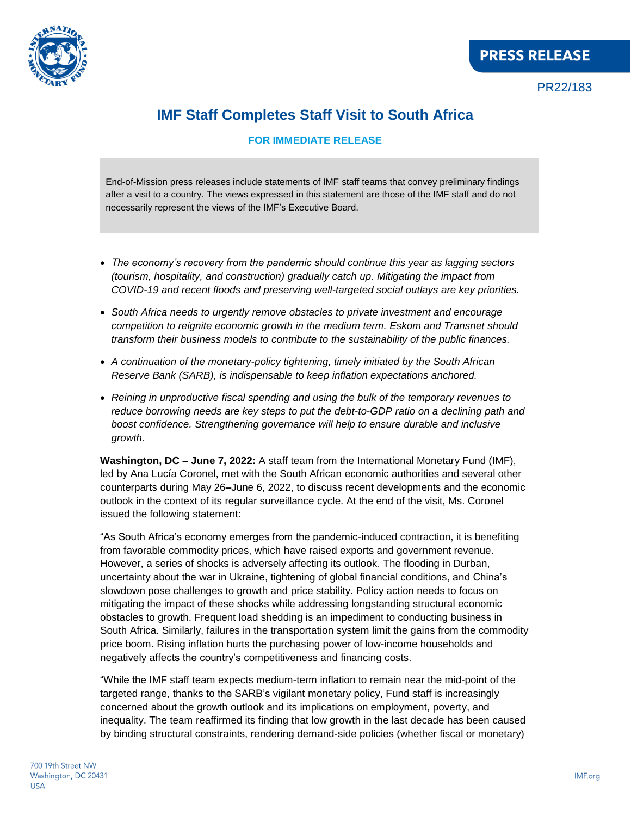

PR22/183

## **IMF Staff Completes Staff Visit to South Africa**

## **FOR IMMEDIATE RELEASE**

End-of-Mission press releases include statements of IMF staff teams that convey preliminary findings after a visit to a country. The views expressed in this statement are those of the IMF staff and do not necessarily represent the views of the IMF's Executive Board.

- *The economy's recovery from the pandemic should continue this year as lagging sectors (tourism, hospitality, and construction) gradually catch up. Mitigating the impact from COVID-19 and recent floods and preserving well-targeted social outlays are key priorities.*
- *South Africa needs to urgently remove obstacles to private investment and encourage competition to reignite economic growth in the medium term. Eskom and Transnet should transform their business models to contribute to the sustainability of the public finances.*
- *A continuation of the monetary-policy tightening, timely initiated by the South African Reserve Bank (SARB), is indispensable to keep inflation expectations anchored.*
- *Reining in unproductive fiscal spending and using the bulk of the temporary revenues to reduce borrowing needs are key steps to put the debt-to-GDP ratio on a declining path and boost confidence. Strengthening governance will help to ensure durable and inclusive growth.*

**Washington, DC – June 7, 2022:** A staff team from the International Monetary Fund (IMF), led by Ana Lucía Coronel, met with the South African economic authorities and several other counterparts during May 26**–**June 6, 2022, to discuss recent developments and the economic outlook in the context of its regular surveillance cycle. At the end of the visit, Ms. Coronel issued the following statement:

"As South Africa's economy emerges from the pandemic-induced contraction, it is benefiting from favorable commodity prices, which have raised exports and government revenue. However, a series of shocks is adversely affecting its outlook. The flooding in Durban, uncertainty about the war in Ukraine, tightening of global financial conditions, and China's slowdown pose challenges to growth and price stability. Policy action needs to focus on mitigating the impact of these shocks while addressing longstanding structural economic obstacles to growth. Frequent load shedding is an impediment to conducting business in South Africa. Similarly, failures in the transportation system limit the gains from the commodity price boom. Rising inflation hurts the purchasing power of low-income households and negatively affects the country's competitiveness and financing costs.

"While the IMF staff team expects medium-term inflation to remain near the mid-point of the targeted range, thanks to the SARB's vigilant monetary policy, Fund staff is increasingly concerned about the growth outlook and its implications on employment, poverty, and inequality. The team reaffirmed its finding that low growth in the last decade has been caused by binding structural constraints, rendering demand-side policies (whether fiscal or monetary)